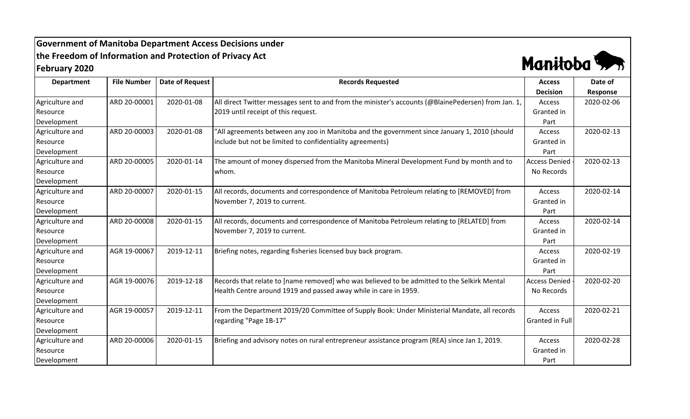## **Government of Manitoba Department Access Decisions under the Freedom of Information and Protection of Privacy Act February 2020**



| <b>Department</b> | <b>File Number</b> | <b>Date of Request</b> | <b>Records Requested</b>                                                                            | <b>Access</b>        | Date of    |
|-------------------|--------------------|------------------------|-----------------------------------------------------------------------------------------------------|----------------------|------------|
|                   |                    |                        |                                                                                                     | <b>Decision</b>      | Response   |
| Agriculture and   | ARD 20-00001       | 2020-01-08             | All direct Twitter messages sent to and from the minister's accounts (@BlainePedersen) from Jan. 1, | Access               | 2020-02-06 |
| Resource          |                    |                        | 2019 until receipt of this request.                                                                 | Granted in           |            |
| Development       |                    |                        |                                                                                                     | Part                 |            |
| Agriculture and   | ARD 20-00003       | 2020-01-08             | "All agreements between any zoo in Manitoba and the government since January 1, 2010 (should        | Access               | 2020-02-13 |
| Resource          |                    |                        | include but not be limited to confidentiality agreements)                                           | Granted in           |            |
| Development       |                    |                        |                                                                                                     | Part                 |            |
| Agriculture and   | ARD 20-00005       | 2020-01-14             | The amount of money dispersed from the Manitoba Mineral Development Fund by month and to            | <b>Access Denied</b> | 2020-02-13 |
| Resource          |                    |                        | whom.                                                                                               | No Records           |            |
| Development       |                    |                        |                                                                                                     |                      |            |
| Agriculture and   | ARD 20-00007       | 2020-01-15             | All records, documents and correspondence of Manitoba Petroleum relating to [REMOVED] from          | Access               | 2020-02-14 |
| Resource          |                    |                        | November 7, 2019 to current.                                                                        | Granted in           |            |
| Development       |                    |                        |                                                                                                     | Part                 |            |
| Agriculture and   | ARD 20-00008       | 2020-01-15             | All records, documents and correspondence of Manitoba Petroleum relating to [RELATED] from          | Access               | 2020-02-14 |
| Resource          |                    |                        | November 7, 2019 to current.                                                                        | Granted in           |            |
| Development       |                    |                        |                                                                                                     | Part                 |            |
| Agriculture and   | AGR 19-00067       | 2019-12-11             | Briefing notes, regarding fisheries licensed buy back program.                                      | Access               | 2020-02-19 |
| Resource          |                    |                        |                                                                                                     | Granted in           |            |
| Development       |                    |                        |                                                                                                     | Part                 |            |
| Agriculture and   | AGR 19-00076       | 2019-12-18             | Records that relate to [name removed] who was believed to be admitted to the Selkirk Mental         | <b>Access Denied</b> | 2020-02-20 |
| Resource          |                    |                        | Health Centre around 1919 and passed away while in care in 1959.                                    | No Records           |            |
| Development       |                    |                        |                                                                                                     |                      |            |
| Agriculture and   | AGR 19-00057       | 2019-12-11             | From the Department 2019/20 Committee of Supply Book: Under Ministerial Mandate, all records        | Access               | 2020-02-21 |
| Resource          |                    |                        | regarding "Page 1B-17"                                                                              | Granted in Full      |            |
| Development       |                    |                        |                                                                                                     |                      |            |
| Agriculture and   | ARD 20-00006       | 2020-01-15             | Briefing and advisory notes on rural entrepreneur assistance program (REA) since Jan 1, 2019.       | Access               | 2020-02-28 |
| Resource          |                    |                        |                                                                                                     | Granted in           |            |
| Development       |                    |                        |                                                                                                     | Part                 |            |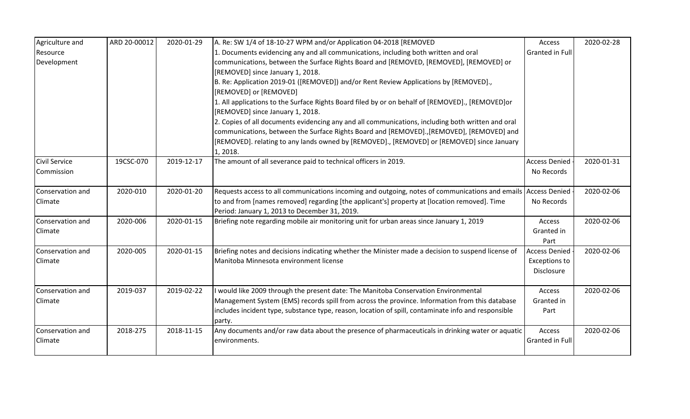| Agriculture and      | ARD 20-00012 | 2020-01-29 | A. Re: SW 1/4 of 18-10-27 WPM and/or Application 04-2018 [REMOVED                                             | Access               | 2020-02-28 |
|----------------------|--------------|------------|---------------------------------------------------------------------------------------------------------------|----------------------|------------|
| Resource             |              |            | 1. Documents evidencing any and all communications, including both written and oral                           | Granted in Full      |            |
| Development          |              |            | communications, between the Surface Rights Board and [REMOVED, [REMOVED], [REMOVED] or                        |                      |            |
|                      |              |            | [REMOVED] since January 1, 2018.                                                                              |                      |            |
|                      |              |            | B. Re: Application 2019-01 ([REMOVED]) and/or Rent Review Applications by [REMOVED].,                         |                      |            |
|                      |              |            | [REMOVED] or [REMOVED]                                                                                        |                      |            |
|                      |              |            | 1. All applications to the Surface Rights Board filed by or on behalf of [REMOVED]., [REMOVED]or              |                      |            |
|                      |              |            | [REMOVED] since January 1, 2018.                                                                              |                      |            |
|                      |              |            | 2. Copies of all documents evidencing any and all communications, including both written and oral             |                      |            |
|                      |              |            | communications, between the Surface Rights Board and [REMOVED]., [REMOVED], [REMOVED] and                     |                      |            |
|                      |              |            | [REMOVED]. relating to any lands owned by [REMOVED]., [REMOVED] or [REMOVED] since January                    |                      |            |
|                      |              |            | 1, 2018.                                                                                                      |                      |            |
| <b>Civil Service</b> | 19CSC-070    | 2019-12-17 | The amount of all severance paid to technical officers in 2019.                                               | <b>Access Denied</b> | 2020-01-31 |
| Commission           |              |            |                                                                                                               | No Records           |            |
| Conservation and     | 2020-010     | 2020-01-20 | Requests access to all communications incoming and outgoing, notes of communications and emails Access Denied |                      | 2020-02-06 |
| Climate              |              |            | to and from [names removed] regarding [the applicant's] property at [location removed]. Time                  | No Records           |            |
|                      |              |            | Period: January 1, 2013 to December 31, 2019.                                                                 |                      |            |
| Conservation and     | 2020-006     | 2020-01-15 | Briefing note regarding mobile air monitoring unit for urban areas since January 1, 2019                      | Access               | 2020-02-06 |
| Climate              |              |            |                                                                                                               | Granted in           |            |
|                      |              |            |                                                                                                               | Part                 |            |
| Conservation and     | 2020-005     | 2020-01-15 | Briefing notes and decisions indicating whether the Minister made a decision to suspend license of            | <b>Access Denied</b> | 2020-02-06 |
| Climate              |              |            | Manitoba Minnesota environment license                                                                        | <b>Exceptions to</b> |            |
|                      |              |            |                                                                                                               | Disclosure           |            |
| Conservation and     | 2019-037     | 2019-02-22 | would like 2009 through the present date: The Manitoba Conservation Environmental                             | Access               | 2020-02-06 |
| Climate              |              |            | Management System (EMS) records spill from across the province. Information from this database                | Granted in           |            |
|                      |              |            | includes incident type, substance type, reason, location of spill, contaminate info and responsible           | Part                 |            |
|                      |              |            | party.                                                                                                        |                      |            |
| Conservation and     | 2018-275     | 2018-11-15 | Any documents and/or raw data about the presence of pharmaceuticals in drinking water or aquatic              | Access               | 2020-02-06 |
| Climate              |              |            | environments.                                                                                                 | Granted in Full      |            |
|                      |              |            |                                                                                                               |                      |            |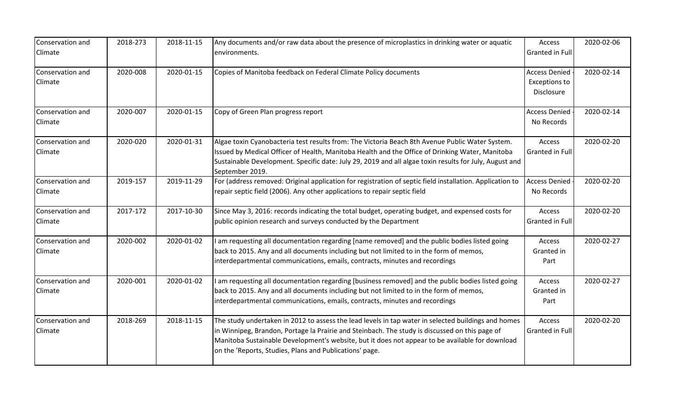| Conservation and<br>Climate | 2018-273 | 2018-11-15 | Any documents and/or raw data about the presence of microplastics in drinking water or aquatic<br>environments.                                                                                                                                                                                                                                                     | Access<br>Granted in Full                                  | 2020-02-06 |
|-----------------------------|----------|------------|---------------------------------------------------------------------------------------------------------------------------------------------------------------------------------------------------------------------------------------------------------------------------------------------------------------------------------------------------------------------|------------------------------------------------------------|------------|
| Conservation and<br>Climate | 2020-008 | 2020-01-15 | Copies of Manitoba feedback on Federal Climate Policy documents                                                                                                                                                                                                                                                                                                     | <b>Access Denied</b><br><b>Exceptions to</b><br>Disclosure | 2020-02-14 |
| Conservation and<br>Climate | 2020-007 | 2020-01-15 | Copy of Green Plan progress report                                                                                                                                                                                                                                                                                                                                  | <b>Access Denied</b><br>No Records                         | 2020-02-14 |
| Conservation and<br>Climate | 2020-020 | 2020-01-31 | Algae toxin Cyanobacteria test results from: The Victoria Beach 8th Avenue Public Water System.<br>Issued by Medical Officer of Health, Manitoba Health and the Office of Drinking Water, Manitoba<br>Sustainable Development. Specific date: July 29, 2019 and all algae toxin results for July, August and<br>September 2019.                                     | Access<br>Granted in Full                                  | 2020-02-20 |
| Conservation and<br>Climate | 2019-157 | 2019-11-29 | For (address removed: Original application for registration of septic field installation. Application to<br>repair septic field (2006). Any other applications to repair septic field                                                                                                                                                                               | <b>Access Denied</b><br>No Records                         | 2020-02-20 |
| Conservation and<br>Climate | 2017-172 | 2017-10-30 | Since May 3, 2016: records indicating the total budget, operating budget, and expensed costs for<br>public opinion research and surveys conducted by the Department                                                                                                                                                                                                 | Access<br>Granted in Full                                  | 2020-02-20 |
| Conservation and<br>Climate | 2020-002 | 2020-01-02 | I am requesting all documentation regarding [name removed] and the public bodies listed going<br>back to 2015. Any and all documents including but not limited to in the form of memos,<br>interdepartmental communications, emails, contracts, minutes and recordings                                                                                              | Access<br>Granted in<br>Part                               | 2020-02-27 |
| Conservation and<br>Climate | 2020-001 | 2020-01-02 | I am requesting all documentation regarding [business removed] and the public bodies listed going<br>back to 2015. Any and all documents including but not limited to in the form of memos,<br>interdepartmental communications, emails, contracts, minutes and recordings                                                                                          | Access<br>Granted in<br>Part                               | 2020-02-27 |
| Conservation and<br>Climate | 2018-269 | 2018-11-15 | The study undertaken in 2012 to assess the lead levels in tap water in selected buildings and homes<br>in Winnipeg, Brandon, Portage la Prairie and Steinbach. The study is discussed on this page of<br>Manitoba Sustainable Development's website, but it does not appear to be available for download<br>on the 'Reports, Studies, Plans and Publications' page. | Access<br>Granted in Full                                  | 2020-02-20 |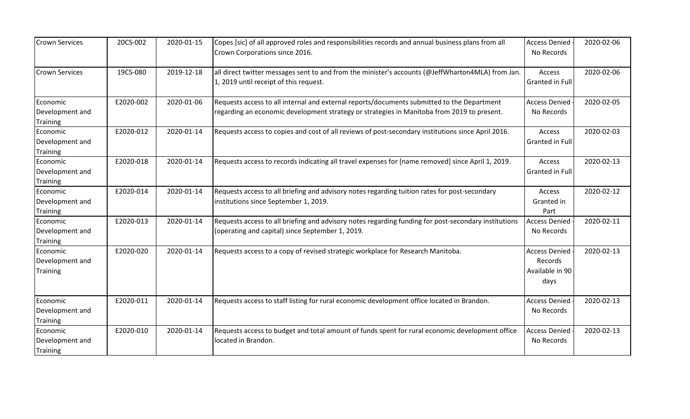| <b>Crown Services</b>                          | 20CS-002  | 2020-01-15 | Copes [sic] of all approved roles and responsibilities records and annual business plans from all<br>Crown Corporations since 2016.                                                      | <b>Access Denied</b><br>No Records                         | 2020-02-06 |
|------------------------------------------------|-----------|------------|------------------------------------------------------------------------------------------------------------------------------------------------------------------------------------------|------------------------------------------------------------|------------|
| <b>Crown Services</b>                          | 19CS-080  | 2019-12-18 | all direct twitter messages sent to and from the minister's accounts (@JeffWharton4MLA) from Jan.<br>1, 2019 until receipt of this request.                                              | Access<br>Granted in Full                                  | 2020-02-06 |
| Economic<br>Development and<br><b>Training</b> | E2020-002 | 2020-01-06 | Requests access to all internal and external reports/documents submitted to the Department<br>regarding an economic development strategy or strategies in Manitoba from 2019 to present. | <b>Access Denied</b><br>No Records                         | 2020-02-05 |
| Economic<br>Development and<br><b>Training</b> | E2020-012 | 2020-01-14 | Requests access to copies and cost of all reviews of post-secondary institutions since April 2016.                                                                                       | Access<br>Granted in Full                                  | 2020-02-03 |
| Economic<br>Development and<br><b>Training</b> | E2020-018 | 2020-01-14 | Requests access to records indicating all travel expenses for [name removed] since April 1, 2019.                                                                                        | Access<br>Granted in Full                                  | 2020-02-13 |
| Economic<br>Development and<br>Training        | E2020-014 | 2020-01-14 | Requests access to all briefing and advisory notes regarding tuition rates for post-secondary<br>institutions since September 1, 2019.                                                   | Access<br>Granted in<br>Part                               | 2020-02-12 |
| Economic<br>Development and<br><b>Training</b> | E2020-013 | 2020-01-14 | Requests access to all briefing and advisory notes regarding funding for post-secondary institutions<br>(operating and capital) since September 1, 2019.                                 | <b>Access Denied</b><br>No Records                         | 2020-02-11 |
| Economic<br>Development and<br><b>Training</b> | E2020-020 | 2020-01-14 | Requests access to a copy of revised strategic workplace for Research Manitoba.                                                                                                          | <b>Access Denied</b><br>Records<br>Available in 90<br>days | 2020-02-13 |
| Economic<br>Development and<br><b>Training</b> | E2020-011 | 2020-01-14 | Requests access to staff listing for rural economic development office located in Brandon.                                                                                               | <b>Access Denied</b><br>No Records                         | 2020-02-13 |
| Economic<br>Development and<br>Training        | E2020-010 | 2020-01-14 | Requests access to budget and total amount of funds spent for rural economic development office<br>located in Brandon.                                                                   | <b>Access Denied</b><br>No Records                         | 2020-02-13 |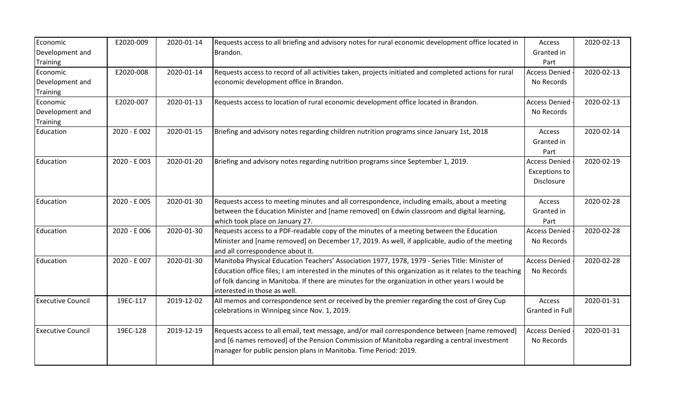| Economic                 | E2020-009    | 2020-01-14 | Requests access to all briefing and advisory notes for rural economic development office located in       | Access               | 2020-02-13 |
|--------------------------|--------------|------------|-----------------------------------------------------------------------------------------------------------|----------------------|------------|
| Development and          |              |            | Brandon.                                                                                                  | Granted in           |            |
| <b>Training</b>          |              |            |                                                                                                           | Part                 |            |
| Economic                 | E2020-008    | 2020-01-14 | Requests access to record of all activities taken, projects initiated and completed actions for rural     | <b>Access Denied</b> | 2020-02-13 |
| Development and          |              |            | economic development office in Brandon.                                                                   | No Records           |            |
| <b>Training</b>          |              |            |                                                                                                           |                      |            |
| Economic                 | E2020-007    | 2020-01-13 | Requests access to location of rural economic development office located in Brandon.                      | <b>Access Denied</b> | 2020-02-13 |
| Development and          |              |            |                                                                                                           | No Records           |            |
| <b>Training</b>          |              |            |                                                                                                           |                      |            |
| Education                | 2020 - E 002 | 2020-01-15 | Briefing and advisory notes regarding children nutrition programs since January 1st, 2018                 | Access               | 2020-02-14 |
|                          |              |            |                                                                                                           | Granted in           |            |
|                          |              |            |                                                                                                           | Part                 |            |
| Education                | 2020 - E 003 | 2020-01-20 | Briefing and advisory notes regarding nutrition programs since September 1, 2019.                         | <b>Access Denied</b> | 2020-02-19 |
|                          |              |            |                                                                                                           | <b>Exceptions to</b> |            |
|                          |              |            |                                                                                                           | Disclosure           |            |
|                          |              |            |                                                                                                           |                      |            |
| Education                | 2020 - E 005 | 2020-01-30 | Requests access to meeting minutes and all correspondence, including emails, about a meeting              | Access               | 2020-02-28 |
|                          |              |            | between the Education Minister and [name removed] on Edwin classroom and digital learning,                | Granted in           |            |
|                          |              |            | which took place on January 27.                                                                           | Part                 |            |
| Education                | 2020 - E 006 | 2020-01-30 | Requests access to a PDF-readable copy of the minutes of a meeting between the Education                  | <b>Access Denied</b> | 2020-02-28 |
|                          |              |            | Minister and [name removed] on December 17, 2019. As well, if applicable, audio of the meeting            | No Records           |            |
|                          |              |            | and all correspondence about it.                                                                          |                      |            |
| Education                | 2020 - E 007 | 2020-01-30 | Manitoba Physical Education Teachers' Association 1977, 1978, 1979 - Series Title: Minister of            | <b>Access Denied</b> | 2020-02-28 |
|                          |              |            | Education office files; I am interested in the minutes of this organization as it relates to the teaching | No Records           |            |
|                          |              |            | of folk dancing in Manitoba. If there are minutes for the organization in other years I would be          |                      |            |
|                          |              |            | interested in those as well.                                                                              |                      |            |
| <b>Executive Council</b> | 19EC-117     | 2019-12-02 | All memos and correspondence sent or received by the premier regarding the cost of Grey Cup               | Access               | 2020-01-31 |
|                          |              |            | celebrations in Winnipeg since Nov. 1, 2019.                                                              | Granted in Full      |            |
|                          |              |            |                                                                                                           |                      |            |
| <b>Executive Council</b> | 19EC-128     | 2019-12-19 | Requests access to all email, text message, and/or mail correspondence between [name removed]             | <b>Access Denied</b> | 2020-01-31 |
|                          |              |            | and [6 names removed] of the Pension Commission of Manitoba regarding a central investment                | No Records           |            |
|                          |              |            | manager for public pension plans in Manitoba. Time Period: 2019.                                          |                      |            |
|                          |              |            |                                                                                                           |                      |            |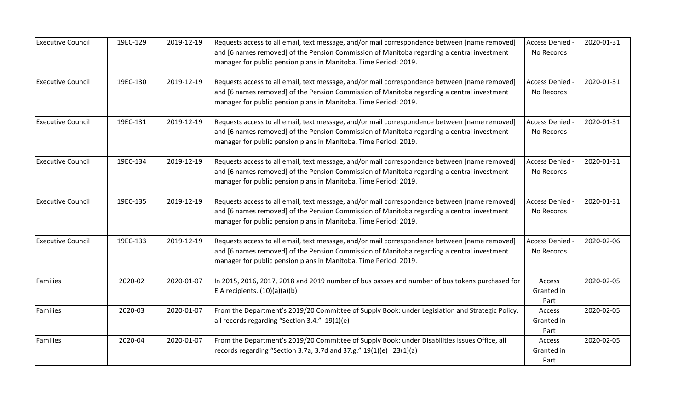| <b>Executive Council</b> | 19EC-129 | 2019-12-19 | Requests access to all email, text message, and/or mail correspondence between [name removed]<br>and [6 names removed] of the Pension Commission of Manitoba regarding a central investment<br>manager for public pension plans in Manitoba. Time Period: 2019. | <b>Access Denied</b><br>No Records | 2020-01-31 |
|--------------------------|----------|------------|-----------------------------------------------------------------------------------------------------------------------------------------------------------------------------------------------------------------------------------------------------------------|------------------------------------|------------|
| <b>Executive Council</b> | 19EC-130 | 2019-12-19 | Requests access to all email, text message, and/or mail correspondence between [name removed]<br>and [6 names removed] of the Pension Commission of Manitoba regarding a central investment<br>manager for public pension plans in Manitoba. Time Period: 2019. | <b>Access Denied</b><br>No Records | 2020-01-31 |
| <b>Executive Council</b> | 19EC-131 | 2019-12-19 | Requests access to all email, text message, and/or mail correspondence between [name removed]<br>and [6 names removed] of the Pension Commission of Manitoba regarding a central investment<br>manager for public pension plans in Manitoba. Time Period: 2019. | <b>Access Denied</b><br>No Records | 2020-01-31 |
| <b>Executive Council</b> | 19EC-134 | 2019-12-19 | Requests access to all email, text message, and/or mail correspondence between [name removed]<br>and [6 names removed] of the Pension Commission of Manitoba regarding a central investment<br>manager for public pension plans in Manitoba. Time Period: 2019. | <b>Access Denied</b><br>No Records | 2020-01-31 |
| <b>Executive Council</b> | 19EC-135 | 2019-12-19 | Requests access to all email, text message, and/or mail correspondence between [name removed]<br>and [6 names removed] of the Pension Commission of Manitoba regarding a central investment<br>manager for public pension plans in Manitoba. Time Period: 2019. | <b>Access Denied</b><br>No Records | 2020-01-31 |
| <b>Executive Council</b> | 19EC-133 | 2019-12-19 | Requests access to all email, text message, and/or mail correspondence between [name removed]<br>and [6 names removed] of the Pension Commission of Manitoba regarding a central investment<br>manager for public pension plans in Manitoba. Time Period: 2019. | <b>Access Denied</b><br>No Records | 2020-02-06 |
| Families                 | 2020-02  | 2020-01-07 | In 2015, 2016, 2017, 2018 and 2019 number of bus passes and number of bus tokens purchased for<br>EIA recipients. (10)(a)(a)(b)                                                                                                                                 | Access<br>Granted in<br>Part       | 2020-02-05 |
| <b>Families</b>          | 2020-03  | 2020-01-07 | From the Department's 2019/20 Committee of Supply Book: under Legislation and Strategic Policy,<br>all records regarding "Section 3.4." 19(1)(e)                                                                                                                | Access<br>Granted in<br>Part       | 2020-02-05 |
| Families                 | 2020-04  | 2020-01-07 | From the Department's 2019/20 Committee of Supply Book: under Disabilities Issues Office, all<br>records regarding "Section 3.7a, 3.7d and $37.g." 19(1)(e) 23(1)(a)$                                                                                           | Access<br>Granted in<br>Part       | 2020-02-05 |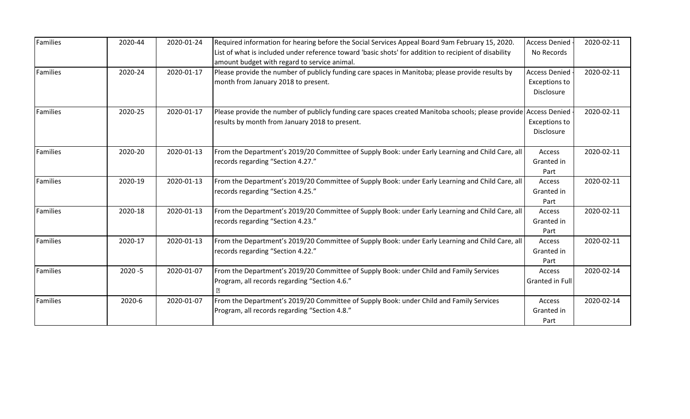| <b>Families</b> | 2020-44    | 2020-01-24 | Required information for hearing before the Social Services Appeal Board 9am February 15, 2020.                                                                    | <b>Access Denied</b>                                | 2020-02-11 |
|-----------------|------------|------------|--------------------------------------------------------------------------------------------------------------------------------------------------------------------|-----------------------------------------------------|------------|
|                 |            |            | List of what is included under reference toward 'basic shots' for addition to recipient of disability<br>amount budget with regard to service animal.              | No Records                                          |            |
| Families        | 2020-24    | 2020-01-17 | Please provide the number of publicly funding care spaces in Manitoba; please provide results by<br>month from January 2018 to present.                            | <b>Access Denied</b><br>Exceptions to<br>Disclosure | 2020-02-11 |
| <b>Families</b> | 2020-25    | 2020-01-17 | Please provide the number of publicly funding care spaces created Manitoba schools; please provide Access Denied<br>results by month from January 2018 to present. | <b>Exceptions to</b><br><b>Disclosure</b>           | 2020-02-11 |
| <b>Families</b> | 2020-20    | 2020-01-13 | From the Department's 2019/20 Committee of Supply Book: under Early Learning and Child Care, all<br>records regarding "Section 4.27."                              | Access<br>Granted in<br>Part                        | 2020-02-11 |
| Families        | 2020-19    | 2020-01-13 | From the Department's 2019/20 Committee of Supply Book: under Early Learning and Child Care, all<br>records regarding "Section 4.25."                              | Access<br>Granted in<br>Part                        | 2020-02-11 |
| Families        | 2020-18    | 2020-01-13 | From the Department's 2019/20 Committee of Supply Book: under Early Learning and Child Care, all<br>records regarding "Section 4.23."                              | Access<br>Granted in<br>Part                        | 2020-02-11 |
| Families        | 2020-17    | 2020-01-13 | From the Department's 2019/20 Committee of Supply Book: under Early Learning and Child Care, all<br>records regarding "Section 4.22."                              | <b>Access</b><br>Granted in<br>Part                 | 2020-02-11 |
| Families        | $2020 - 5$ | 2020-01-07 | From the Department's 2019/20 Committee of Supply Book: under Child and Family Services<br>Program, all records regarding "Section 4.6."                           | Access<br>Granted in Full                           | 2020-02-14 |
| <b>Families</b> | 2020-6     | 2020-01-07 | From the Department's 2019/20 Committee of Supply Book: under Child and Family Services<br>Program, all records regarding "Section 4.8."                           | Access<br>Granted in<br>Part                        | 2020-02-14 |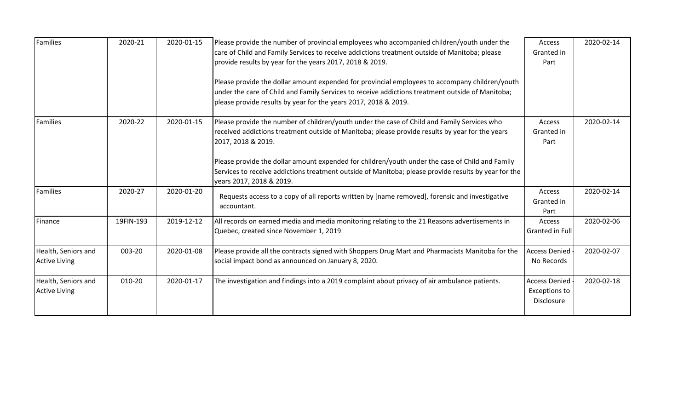| Families                                    | 2020-21   | 2020-01-15 | Please provide the number of provincial employees who accompanied children/youth under the<br>care of Child and Family Services to receive addictions treatment outside of Manitoba; please<br>provide results by year for the years 2017, 2018 & 2019.<br>Please provide the dollar amount expended for provincial employees to accompany children/youth<br>under the care of Child and Family Services to receive addictions treatment outside of Manitoba;<br>please provide results by year for the years 2017, 2018 & 2019. | Access<br>Granted in<br>Part                               | 2020-02-14 |
|---------------------------------------------|-----------|------------|----------------------------------------------------------------------------------------------------------------------------------------------------------------------------------------------------------------------------------------------------------------------------------------------------------------------------------------------------------------------------------------------------------------------------------------------------------------------------------------------------------------------------------|------------------------------------------------------------|------------|
| Families                                    | 2020-22   | 2020-01-15 | Please provide the number of children/youth under the case of Child and Family Services who<br>received addictions treatment outside of Manitoba; please provide results by year for the years<br>2017, 2018 & 2019.<br>Please provide the dollar amount expended for children/youth under the case of Child and Family<br>Services to receive addictions treatment outside of Manitoba; please provide results by year for the<br>years 2017, 2018 & 2019.                                                                      | Access<br>Granted in<br>Part                               | 2020-02-14 |
| Families                                    | 2020-27   | 2020-01-20 | Requests access to a copy of all reports written by [name removed], forensic and investigative<br>accountant.                                                                                                                                                                                                                                                                                                                                                                                                                    | Access<br>Granted in<br>Part                               | 2020-02-14 |
| Finance                                     | 19FIN-193 | 2019-12-12 | All records on earned media and media monitoring relating to the 21 Reasons advertisements in<br>Quebec, created since November 1, 2019                                                                                                                                                                                                                                                                                                                                                                                          | Access<br>Granted in Full                                  | 2020-02-06 |
| Health, Seniors and<br><b>Active Living</b> | 003-20    | 2020-01-08 | Please provide all the contracts signed with Shoppers Drug Mart and Pharmacists Manitoba for the<br>social impact bond as announced on January 8, 2020.                                                                                                                                                                                                                                                                                                                                                                          | <b>Access Denied</b><br>No Records                         | 2020-02-07 |
| Health, Seniors and<br><b>Active Living</b> | 010-20    | 2020-01-17 | The investigation and findings into a 2019 complaint about privacy of air ambulance patients.                                                                                                                                                                                                                                                                                                                                                                                                                                    | <b>Access Denied</b><br><b>Exceptions to</b><br>Disclosure | 2020-02-18 |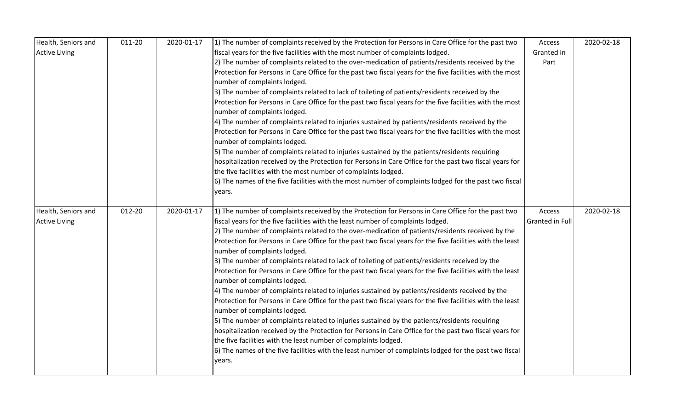| Health, Seniors and  | 011-20 | 2020-01-17 | 1) The number of complaints received by the Protection for Persons in Care Office for the past two         | Access                 | 2020-02-18 |
|----------------------|--------|------------|------------------------------------------------------------------------------------------------------------|------------------------|------------|
| <b>Active Living</b> |        |            | fiscal years for the five facilities with the most number of complaints lodged.                            | Granted in             |            |
|                      |        |            | 2) The number of complaints related to the over-medication of patients/residents received by the           | Part                   |            |
|                      |        |            | Protection for Persons in Care Office for the past two fiscal years for the five facilities with the most  |                        |            |
|                      |        |            | number of complaints lodged.                                                                               |                        |            |
|                      |        |            | 3) The number of complaints related to lack of toileting of patients/residents received by the             |                        |            |
|                      |        |            | Protection for Persons in Care Office for the past two fiscal years for the five facilities with the most  |                        |            |
|                      |        |            | number of complaints lodged.                                                                               |                        |            |
|                      |        |            | 4) The number of complaints related to injuries sustained by patients/residents received by the            |                        |            |
|                      |        |            | Protection for Persons in Care Office for the past two fiscal years for the five facilities with the most  |                        |            |
|                      |        |            | number of complaints lodged.                                                                               |                        |            |
|                      |        |            | 5) The number of complaints related to injuries sustained by the patients/residents requiring              |                        |            |
|                      |        |            | hospitalization received by the Protection for Persons in Care Office for the past two fiscal years for    |                        |            |
|                      |        |            | the five facilities with the most number of complaints lodged.                                             |                        |            |
|                      |        |            | 6) The names of the five facilities with the most number of complaints lodged for the past two fiscal      |                        |            |
|                      |        |            | years.                                                                                                     |                        |            |
| Health, Seniors and  | 012-20 | 2020-01-17 | 1) The number of complaints received by the Protection for Persons in Care Office for the past two         | Access                 | 2020-02-18 |
| <b>Active Living</b> |        |            | fiscal years for the five facilities with the least number of complaints lodged.                           | <b>Granted in Full</b> |            |
|                      |        |            | 2) The number of complaints related to the over-medication of patients/residents received by the           |                        |            |
|                      |        |            | Protection for Persons in Care Office for the past two fiscal years for the five facilities with the least |                        |            |
|                      |        |            | number of complaints lodged.                                                                               |                        |            |
|                      |        |            | 3) The number of complaints related to lack of toileting of patients/residents received by the             |                        |            |
|                      |        |            | Protection for Persons in Care Office for the past two fiscal years for the five facilities with the least |                        |            |
|                      |        |            |                                                                                                            |                        |            |
|                      |        |            | number of complaints lodged.                                                                               |                        |            |
|                      |        |            | 4) The number of complaints related to injuries sustained by patients/residents received by the            |                        |            |
|                      |        |            | Protection for Persons in Care Office for the past two fiscal years for the five facilities with the least |                        |            |
|                      |        |            | number of complaints lodged.                                                                               |                        |            |
|                      |        |            | 5) The number of complaints related to injuries sustained by the patients/residents requiring              |                        |            |
|                      |        |            | hospitalization received by the Protection for Persons in Care Office for the past two fiscal years for    |                        |            |
|                      |        |            | the five facilities with the least number of complaints lodged.                                            |                        |            |
|                      |        |            | 6) The names of the five facilities with the least number of complaints lodged for the past two fiscal     |                        |            |
|                      |        |            | years.                                                                                                     |                        |            |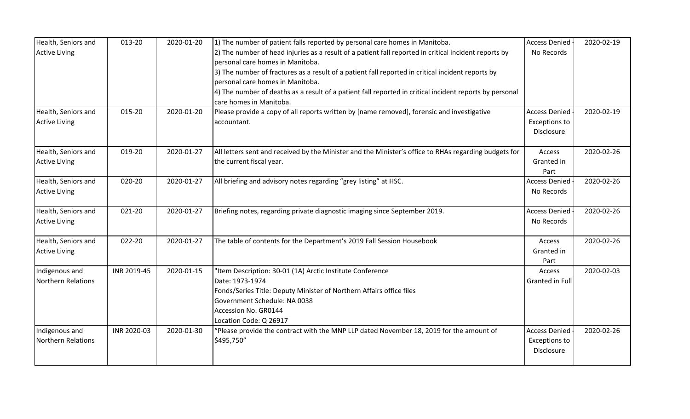| Health, Seniors and       | 013-20      | 2020-01-20 | 1) The number of patient falls reported by personal care homes in Manitoba.                             | <b>Access Denied</b> | 2020-02-19 |
|---------------------------|-------------|------------|---------------------------------------------------------------------------------------------------------|----------------------|------------|
| <b>Active Living</b>      |             |            | 2) The number of head injuries as a result of a patient fall reported in critical incident reports by   | No Records           |            |
|                           |             |            | personal care homes in Manitoba.                                                                        |                      |            |
|                           |             |            | 3) The number of fractures as a result of a patient fall reported in critical incident reports by       |                      |            |
|                           |             |            | personal care homes in Manitoba.                                                                        |                      |            |
|                           |             |            | 4) The number of deaths as a result of a patient fall reported in critical incident reports by personal |                      |            |
|                           |             |            | care homes in Manitoba.                                                                                 |                      |            |
| Health, Seniors and       | 015-20      | 2020-01-20 | Please provide a copy of all reports written by [name removed], forensic and investigative              | <b>Access Denied</b> | 2020-02-19 |
| <b>Active Living</b>      |             |            | accountant.                                                                                             | <b>Exceptions to</b> |            |
|                           |             |            |                                                                                                         | Disclosure           |            |
| Health, Seniors and       | 019-20      | 2020-01-27 | All letters sent and received by the Minister and the Minister's office to RHAs regarding budgets for   | Access               | 2020-02-26 |
| <b>Active Living</b>      |             |            | the current fiscal year.                                                                                | Granted in           |            |
|                           |             |            |                                                                                                         | Part                 |            |
| Health, Seniors and       | 020-20      | 2020-01-27 | All briefing and advisory notes regarding "grey listing" at HSC.                                        | <b>Access Denied</b> | 2020-02-26 |
| <b>Active Living</b>      |             |            |                                                                                                         | No Records           |            |
|                           |             |            |                                                                                                         |                      |            |
| Health, Seniors and       | 021-20      | 2020-01-27 | Briefing notes, regarding private diagnostic imaging since September 2019.                              | <b>Access Denied</b> | 2020-02-26 |
| <b>Active Living</b>      |             |            |                                                                                                         | No Records           |            |
| Health, Seniors and       | 022-20      | 2020-01-27 | The table of contents for the Department's 2019 Fall Session Housebook                                  | Access               | 2020-02-26 |
| <b>Active Living</b>      |             |            |                                                                                                         | Granted in           |            |
|                           |             |            |                                                                                                         | Part                 |            |
| Indigenous and            | INR 2019-45 | 2020-01-15 | 'Item Description: 30-01 (1A) Arctic Institute Conference                                               | Access               | 2020-02-03 |
| <b>Northern Relations</b> |             |            | Date: 1973-1974                                                                                         | Granted in Full      |            |
|                           |             |            | Fonds/Series Title: Deputy Minister of Northern Affairs office files                                    |                      |            |
|                           |             |            | Government Schedule: NA 0038                                                                            |                      |            |
|                           |             |            | Accession No. GR0144                                                                                    |                      |            |
|                           |             |            | Location Code: Q 26917                                                                                  |                      |            |
| Indigenous and            | INR 2020-03 | 2020-01-30 | "Please provide the contract with the MNP LLP dated November 18, 2019 for the amount of                 | <b>Access Denied</b> | 2020-02-26 |
| <b>Northern Relations</b> |             |            | \$495,750"                                                                                              | <b>Exceptions to</b> |            |
|                           |             |            |                                                                                                         | Disclosure           |            |
|                           |             |            |                                                                                                         |                      |            |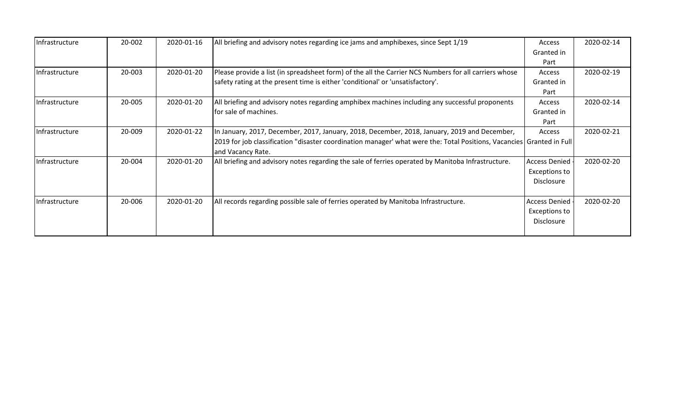| Infrastructure | 20-002 | 2020-01-16 | All briefing and advisory notes regarding ice jams and amphibexes, since Sept 1/19                                     | Access               | 2020-02-14 |
|----------------|--------|------------|------------------------------------------------------------------------------------------------------------------------|----------------------|------------|
|                |        |            |                                                                                                                        | Granted in           |            |
|                |        |            |                                                                                                                        | Part                 |            |
| Infrastructure | 20-003 | 2020-01-20 | Please provide a list (in spreadsheet form) of the all the Carrier NCS Numbers for all carriers whose                  | Access               | 2020-02-19 |
|                |        |            | safety rating at the present time is either 'conditional' or 'unsatisfactory'.                                         | Granted in           |            |
|                |        |            |                                                                                                                        | Part                 |            |
| Infrastructure | 20-005 | 2020-01-20 | All briefing and advisory notes regarding amphibex machines including any successful proponents                        | Access               | 2020-02-14 |
|                |        |            | for sale of machines.                                                                                                  | Granted in           |            |
|                |        |            |                                                                                                                        | Part                 |            |
| Infrastructure | 20-009 | 2020-01-22 | In January, 2017, December, 2017, January, 2018, December, 2018, January, 2019 and December,                           | Access               | 2020-02-21 |
|                |        |            | [2019 for job classification "disaster coordination manager' what were the: Total Positions, Vacancies Granted in Full |                      |            |
|                |        |            | and Vacancy Rate.                                                                                                      |                      |            |
| Infrastructure | 20-004 | 2020-01-20 | All briefing and advisory notes regarding the sale of ferries operated by Manitoba Infrastructure.                     | <b>Access Denied</b> | 2020-02-20 |
|                |        |            |                                                                                                                        | <b>Exceptions to</b> |            |
|                |        |            |                                                                                                                        | <b>Disclosure</b>    |            |
|                |        |            |                                                                                                                        |                      |            |
| Infrastructure | 20-006 | 2020-01-20 | All records regarding possible sale of ferries operated by Manitoba Infrastructure.                                    | <b>Access Denied</b> | 2020-02-20 |
|                |        |            |                                                                                                                        | Exceptions to        |            |
|                |        |            |                                                                                                                        | Disclosure           |            |
|                |        |            |                                                                                                                        |                      |            |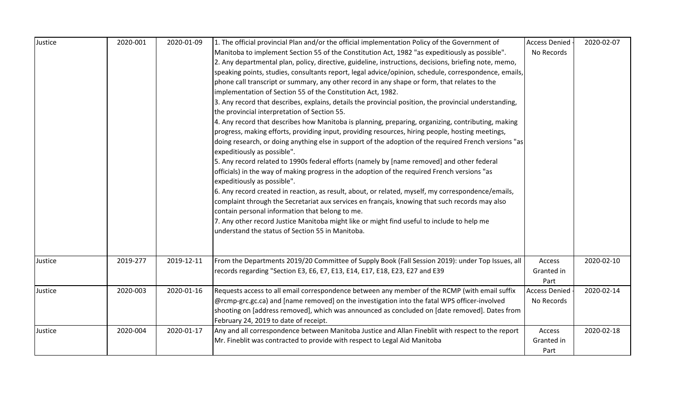| Justice | 2020-001 | 2020-01-09 | 1. The official provincial Plan and/or the official implementation Policy of the Government of                                       | <b>Access Denied</b> | 2020-02-07 |
|---------|----------|------------|--------------------------------------------------------------------------------------------------------------------------------------|----------------------|------------|
|         |          |            | Manitoba to implement Section 55 of the Constitution Act, 1982 "as expeditiously as possible".                                       | No Records           |            |
|         |          |            | 2. Any departmental plan, policy, directive, guideline, instructions, decisions, briefing note, memo,                                |                      |            |
|         |          |            | speaking points, studies, consultants report, legal advice/opinion, schedule, correspondence, emails,                                |                      |            |
|         |          |            | phone call transcript or summary, any other record in any shape or form, that relates to the                                         |                      |            |
|         |          |            | implementation of Section 55 of the Constitution Act, 1982.                                                                          |                      |            |
|         |          |            | 3. Any record that describes, explains, details the provincial position, the provincial understanding,                               |                      |            |
|         |          |            | the provincial interpretation of Section 55.                                                                                         |                      |            |
|         |          |            | 4. Any record that describes how Manitoba is planning, preparing, organizing, contributing, making                                   |                      |            |
|         |          |            | progress, making efforts, providing input, providing resources, hiring people, hosting meetings,                                     |                      |            |
|         |          |            | doing research, or doing anything else in support of the adoption of the required French versions "as<br>expeditiously as possible". |                      |            |
|         |          |            | 5. Any record related to 1990s federal efforts (namely by [name removed] and other federal                                           |                      |            |
|         |          |            | officials) in the way of making progress in the adoption of the required French versions "as                                         |                      |            |
|         |          |            | expeditiously as possible".                                                                                                          |                      |            |
|         |          |            | 6. Any record created in reaction, as result, about, or related, myself, my correspondence/emails,                                   |                      |            |
|         |          |            | complaint through the Secretariat aux services en français, knowing that such records may also                                       |                      |            |
|         |          |            | contain personal information that belong to me.                                                                                      |                      |            |
|         |          |            | 7. Any other record Justice Manitoba might like or might find useful to include to help me                                           |                      |            |
|         |          |            | understand the status of Section 55 in Manitoba.                                                                                     |                      |            |
|         |          |            |                                                                                                                                      |                      |            |
| Justice | 2019-277 | 2019-12-11 | From the Departments 2019/20 Committee of Supply Book (Fall Session 2019): under Top Issues, all                                     | Access               | 2020-02-10 |
|         |          |            | records regarding "Section E3, E6, E7, E13, E14, E17, E18, E23, E27 and E39                                                          | Granted in           |            |
|         |          |            |                                                                                                                                      | Part                 |            |
| Justice | 2020-003 | 2020-01-16 | Requests access to all email correspondence between any member of the RCMP (with email suffix                                        | <b>Access Denied</b> | 2020-02-14 |
|         |          |            | @rcmp-grc.gc.ca) and [name removed] on the investigation into the fatal WPS officer-involved                                         | No Records           |            |
|         |          |            | shooting on [address removed], which was announced as concluded on [date removed]. Dates from                                        |                      |            |
|         |          |            | February 24, 2019 to date of receipt.                                                                                                |                      |            |
| Justice | 2020-004 | 2020-01-17 | Any and all correspondence between Manitoba Justice and Allan Fineblit with respect to the report                                    | Access               | 2020-02-18 |
|         |          |            | Mr. Fineblit was contracted to provide with respect to Legal Aid Manitoba                                                            | Granted in           |            |
|         |          |            |                                                                                                                                      | Part                 |            |